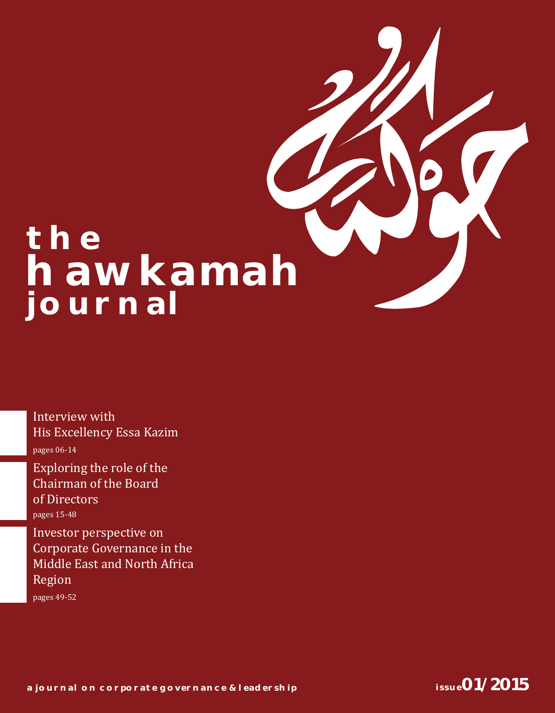# **THE hawkamah journal**

Interview with His Excellency Essa Kazim pages 06-14

pages 15-48 Exploring the role of the Chairman of the Board of Directors

pages 49-52 Investor perspective on Corporate Governance in the Middle East and North Africa Region

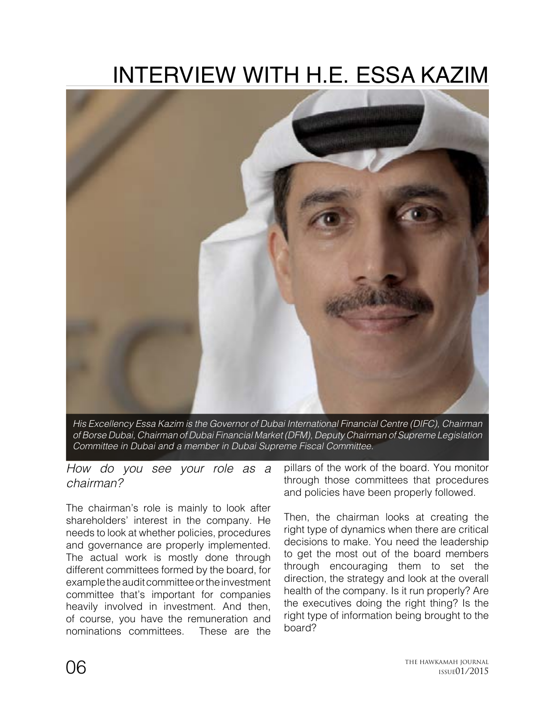## INTERVIEW WITH H.E. ESSA KAZIM



*His Excellency Essa Kazim is the Governor of Dubai International Financial Centre (DIFC), Chairman of Borse Dubai, Chairman of Dubai Financial Market (DFM), Deputy Chairman of Supreme Legislation Committee in Dubai and a member in Dubai Supreme Fiscal Committee.*

*How do you see your role as a chairman?*

The chairman's role is mainly to look after shareholders' interest in the company. He needs to look at whether policies, procedures and governance are properly implemented. The actual work is mostly done through different committees formed by the board, for example the audit committee or the investment committee that's important for companies heavily involved in investment. And then, of course, you have the remuneration and nominations committees. These are the

pillars of the work of the board. You monitor through those committees that procedures and policies have been properly followed.

Then, the chairman looks at creating the right type of dynamics when there are critical decisions to make. You need the leadership to get the most out of the board members through encouraging them to set the direction, the strategy and look at the overall health of the company. Is it run properly? Are the executives doing the right thing? Is the right type of information being brought to the board?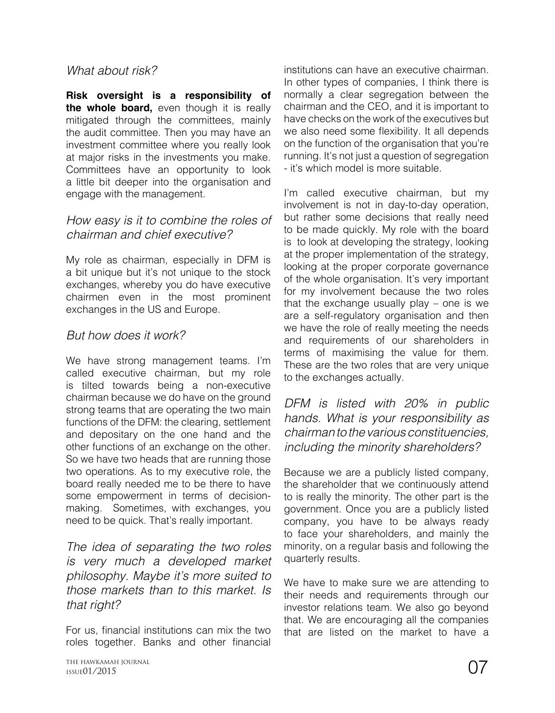#### *What about risk?*

**Risk oversight is a responsibility of the whole board,** even though it is really mitigated through the committees, mainly the audit committee. Then you may have an investment committee where you really look at major risks in the investments you make. Committees have an opportunity to look a little bit deeper into the organisation and engage with the management.

#### *How easy is it to combine the roles of chairman and chief executive?*

My role as chairman, especially in DFM is a bit unique but it's not unique to the stock exchanges, whereby you do have executive chairmen even in the most prominent exchanges in the US and Europe.

#### *But how does it work?*

We have strong management teams. I'm called executive chairman, but my role is tilted towards being a non-executive chairman because we do have on the ground strong teams that are operating the two main functions of the DFM: the clearing, settlement and depositary on the one hand and the other functions of an exchange on the other. So we have two heads that are running those two operations. As to my executive role, the board really needed me to be there to have some empowerment in terms of decisionmaking. Sometimes, with exchanges, you need to be quick. That's really important.

*The idea of separating the two roles is very much a developed market philosophy. Maybe it's more suited to those markets than to this market. Is that right?*

For us, financial institutions can mix the two roles together. Banks and other financial

institutions can have an executive chairman. In other types of companies, I think there is normally a clear segregation between the chairman and the CEO, and it is important to have checks on the work of the executives but we also need some flexibility. It all depends on the function of the organisation that you're running. It's not just a question of segregation - it's which model is more suitable.

I'm called executive chairman, but my involvement is not in day-to-day operation, but rather some decisions that really need to be made quickly. My role with the board is to look at developing the strategy, looking at the proper implementation of the strategy, looking at the proper corporate governance of the whole organisation. It's very important for my involvement because the two roles that the exchange usually play – one is we are a self-regulatory organisation and then we have the role of really meeting the needs and requirements of our shareholders in terms of maximising the value for them. These are the two roles that are very unique to the exchanges actually.

*DFM is listed with 20% in public hands. What is your responsibility as chairman to the various constituencies, including the minority shareholders?*

Because we are a publicly listed company, the shareholder that we continuously attend to is really the minority. The other part is the government. Once you are a publicly listed company, you have to be always ready to face your shareholders, and mainly the minority, on a regular basis and following the quarterly results.

We have to make sure we are attending to their needs and requirements through our investor relations team. We also go beyond that. We are encouraging all the companies that are listed on the market to have a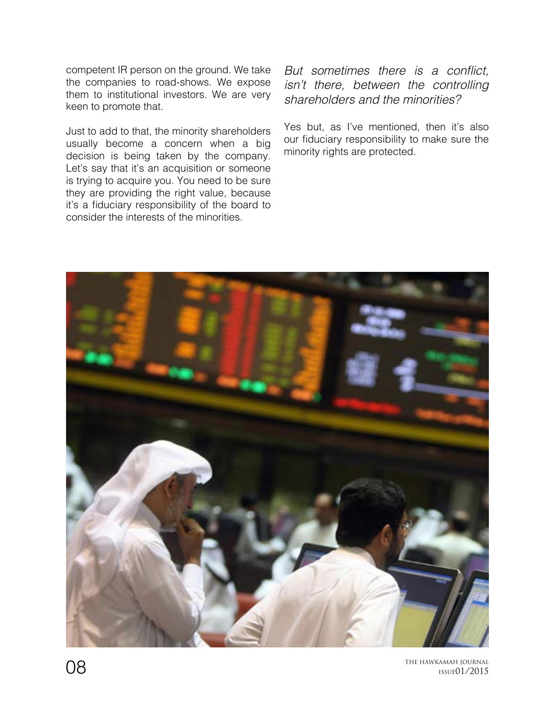competent IR person on the ground. We take the companies to road-shows. We expose them to institutional investors. We are very keen to promote that.

Just to add to that, the minority shareholders usually become a concern when a big decision is being taken by the company. Let's say that it's an acquisition or someone is trying to acquire you. You need to be sure they are providing the right value, because it's a fiduciary responsibility of the board to consider the interests of the minorities.

But sometimes there is a conflict, *isn't there, between the controlling shareholders and the minorities?* 

Yes but, as I've mentioned, then it's also our fiduciary responsibility to make sure the minority rights are protected.



 $\mathrm{O}8$  the Hawkamah journal issued 1/2015 ISSUE01/2015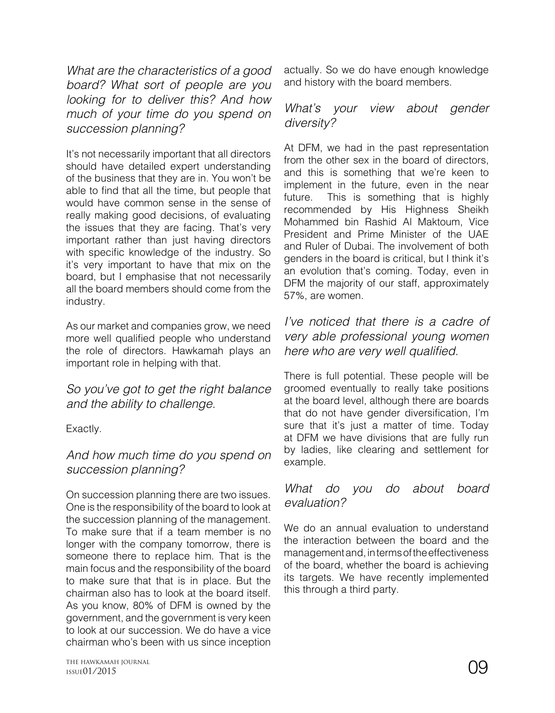*What are the characteristics of a good board? What sort of people are you looking for to deliver this? And how much of your time do you spend on succession planning?*

It's not necessarily important that all directors should have detailed expert understanding of the business that they are in. You won't be able to find that all the time, but people that would have common sense in the sense of really making good decisions, of evaluating the issues that they are facing. That's very important rather than just having directors with specific knowledge of the industry. So it's very important to have that mix on the board, but I emphasise that not necessarily all the board members should come from the industry.

As our market and companies grow, we need more well qualified people who understand the role of directors. Hawkamah plays an important role in helping with that.

*So you've got to get the right balance and the ability to challenge.* 

Exactly.

#### *And how much time do you spend on succession planning?*

On succession planning there are two issues. One is the responsibility of the board to look at the succession planning of the management. To make sure that if a team member is no longer with the company tomorrow, there is someone there to replace him. That is the main focus and the responsibility of the board to make sure that that is in place. But the chairman also has to look at the board itself. As you know, 80% of DFM is owned by the government, and the government is very keen to look at our succession. We do have a vice chairman who's been with us since inception

#### *What's your view about gender diversity?*

At DFM, we had in the past representation from the other sex in the board of directors, and this is something that we're keen to implement in the future, even in the near future. This is something that is highly recommended by His Highness Sheikh Mohammed bin Rashid Al Maktoum, Vice President and Prime Minister of the UAE and Ruler of Dubai. The involvement of both genders in the board is critical, but I think it's an evolution that's coming. Today, even in DFM the majority of our staff, approximately 57%, are women.

*I've noticed that there is a cadre of very able professional young women*  here who are very well qualified.

There is full potential. These people will be groomed eventually to really take positions at the board level, although there are boards that do not have gender diversification, I'm sure that it's just a matter of time. Today at DFM we have divisions that are fully run by ladies, like clearing and settlement for example.

#### *What do you do about board evaluation?*

We do an annual evaluation to understand the interaction between the board and the management and, in terms of the effectiveness of the board, whether the board is achieving its targets. We have recently implemented this through a third party.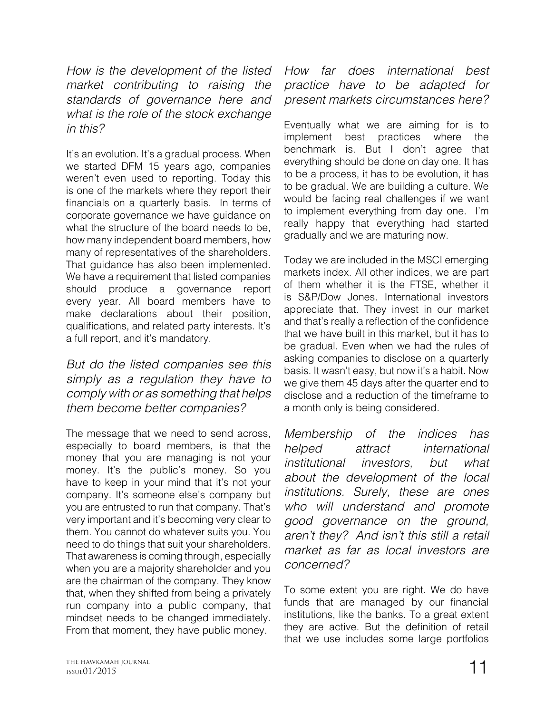*How is the development of the listed market contributing to raising the standards of governance here and what is the role of the stock exchange in this?*

It's an evolution. It's a gradual process. When we started DFM 15 years ago, companies weren't even used to reporting. Today this is one of the markets where they report their financials on a quarterly basis. In terms of corporate governance we have guidance on what the structure of the board needs to be. how many independent board members, how many of representatives of the shareholders. That guidance has also been implemented. We have a requirement that listed companies should produce a governance report every year. All board members have to make declarations about their position, qualifications, and related party interests. It's a full report, and it's mandatory.

*But do the listed companies see this simply as a regulation they have to comply with or as something that helps them become better companies?*

The message that we need to send across, especially to board members, is that the money that you are managing is not your money. It's the public's money. So you have to keep in your mind that it's not your company. It's someone else's company but you are entrusted to run that company. That's very important and it's becoming very clear to them. You cannot do whatever suits you. You need to do things that suit your shareholders. That awareness is coming through, especially when you are a majority shareholder and you are the chairman of the company. They know that, when they shifted from being a privately run company into a public company, that mindset needs to be changed immediately. From that moment, they have public money.

*How far does international best practice have to be adapted for present markets circumstances here?*

Eventually what we are aiming for is to implement best practices where the benchmark is. But I don't agree that everything should be done on day one. It has to be a process, it has to be evolution, it has to be gradual. We are building a culture. We would be facing real challenges if we want to implement everything from day one. I'm really happy that everything had started gradually and we are maturing now.

Today we are included in the MSCI emerging markets index. All other indices, we are part of them whether it is the FTSE, whether it is S&P/Dow Jones. International investors appreciate that. They invest in our market and that's really a reflection of the confidence that we have built in this market, but it has to be gradual. Even when we had the rules of asking companies to disclose on a quarterly basis. It wasn't easy, but now it's a habit. Now we give them 45 days after the quarter end to disclose and a reduction of the timeframe to a month only is being considered.

*Membership of the indices has helped attract international institutional investors, but what about the development of the local institutions. Surely, these are ones who will understand and promote good governance on the ground, aren't they? And isn't this still a retail market as far as local investors are concerned?*

To some extent you are right. We do have funds that are managed by our financial institutions, like the banks. To a great extent they are active. But the definition of retail that we use includes some large portfolios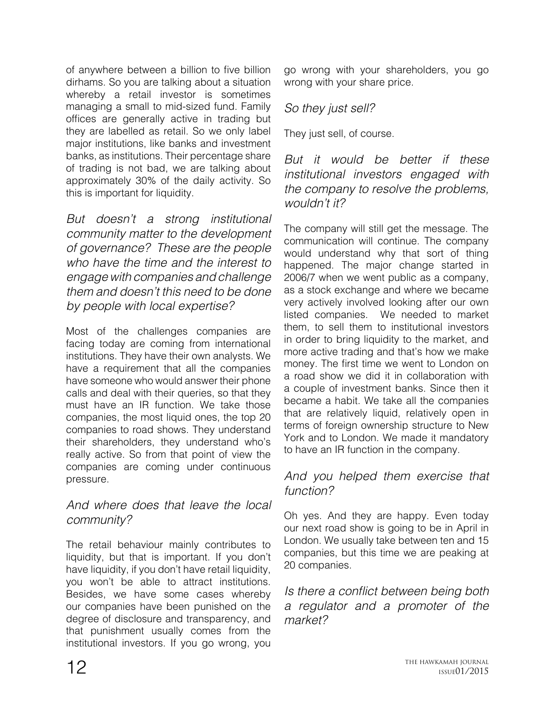of anywhere between a billion to five billion dirhams. So you are talking about a situation whereby a retail investor is sometimes managing a small to mid-sized fund. Family offices are generally active in trading but they are labelled as retail. So we only label major institutions, like banks and investment banks, as institutions. Their percentage share of trading is not bad, we are talking about approximately 30% of the daily activity. So this is important for liquidity.

*But doesn't a strong institutional community matter to the development of governance? These are the people who have the time and the interest to engage with companies and challenge them and doesn't this need to be done by people with local expertise?*

Most of the challenges companies are facing today are coming from international institutions. They have their own analysts. We have a requirement that all the companies have someone who would answer their phone calls and deal with their queries, so that they must have an IR function. We take those companies, the most liquid ones, the top 20 companies to road shows. They understand their shareholders, they understand who's really active. So from that point of view the companies are coming under continuous pressure.

#### *And where does that leave the local community?*

The retail behaviour mainly contributes to liquidity, but that is important. If you don't have liquidity, if you don't have retail liquidity, you won't be able to attract institutions. Besides, we have some cases whereby our companies have been punished on the degree of disclosure and transparency, and that punishment usually comes from the institutional investors. If you go wrong, you

go wrong with your shareholders, you go wrong with your share price.

### *So they just sell?*

They just sell, of course.

*But it would be better if these institutional investors engaged with the company to resolve the problems, wouldn't it?*

The company will still get the message. The communication will continue. The company would understand why that sort of thing happened. The major change started in 2006/7 when we went public as a company, as a stock exchange and where we became very actively involved looking after our own listed companies. We needed to market them, to sell them to institutional investors in order to bring liquidity to the market, and more active trading and that's how we make money. The first time we went to London on a road show we did it in collaboration with a couple of investment banks. Since then it became a habit. We take all the companies that are relatively liquid, relatively open in terms of foreign ownership structure to New York and to London. We made it mandatory to have an IR function in the company.

#### *And you helped them exercise that function?*

Oh yes. And they are happy. Even today our next road show is going to be in April in London. We usually take between ten and 15 companies, but this time we are peaking at 20 companies.

Is there a conflict between being both *a regulator and a promoter of the market?*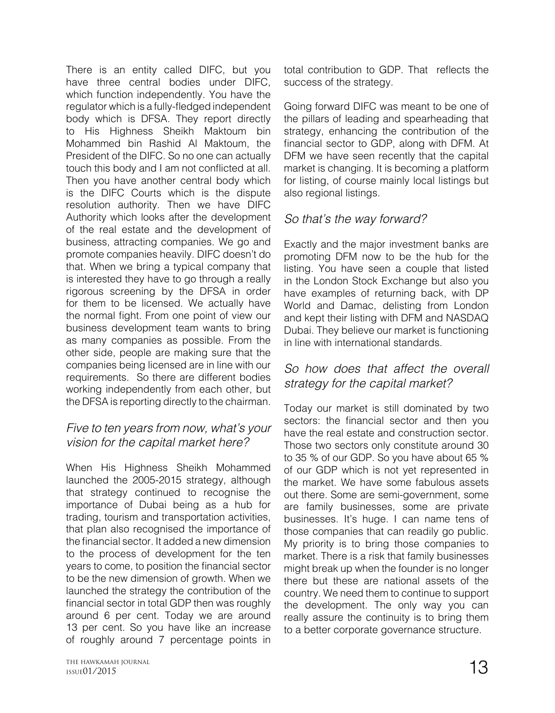There is an entity called DIFC, but you have three central bodies under DIFC, which function independently. You have the regulator which is a fully-fledged independent body which is DFSA. They report directly to His Highness Sheikh Maktoum bin Mohammed bin Rashid Al Maktoum, the President of the DIFC. So no one can actually touch this body and I am not conflicted at all. Then you have another central body which is the DIFC Courts which is the dispute resolution authority. Then we have DIFC Authority which looks after the development of the real estate and the development of business, attracting companies. We go and promote companies heavily. DIFC doesn't do that. When we bring a typical company that is interested they have to go through a really rigorous screening by the DFSA in order for them to be licensed. We actually have the normal fight. From one point of view our business development team wants to bring as many companies as possible. From the other side, people are making sure that the companies being licensed are in line with our requirements. So there are different bodies working independently from each other, but the DFSA is reporting directly to the chairman.

#### *Five to ten years from now, what's your vision for the capital market here?*

When His Highness Sheikh Mohammed launched the 2005-2015 strategy, although that strategy continued to recognise the importance of Dubai being as a hub for trading, tourism and transportation activities, that plan also recognised the importance of the financial sector. It added a new dimension to the process of development for the ten years to come, to position the financial sector to be the new dimension of growth. When we launched the strategy the contribution of the financial sector in total GDP then was roughly around 6 per cent. Today we are around 13 per cent. So you have like an increase of roughly around 7 percentage points in

THE HAWKAMAH JOURNAL  $_{\text{ISSUE}}$  01/2015  $\text{13}$ ISSUE01/2015

total contribution to GDP. That reflects the success of the strategy.

Going forward DIFC was meant to be one of the pillars of leading and spearheading that strategy, enhancing the contribution of the financial sector to GDP, along with DFM. At DFM we have seen recently that the capital market is changing. It is becoming a platform for listing, of course mainly local listings but also regional listings.

#### *So that's the way forward?*

Exactly and the major investment banks are promoting DFM now to be the hub for the listing. You have seen a couple that listed in the London Stock Exchange but also you have examples of returning back, with DP World and Damac, delisting from London and kept their listing with DFM and NASDAQ Dubai. They believe our market is functioning in line with international standards.

#### *So how does that affect the overall strategy for the capital market?*

Today our market is still dominated by two sectors: the financial sector and then you have the real estate and construction sector. Those two sectors only constitute around 30 to 35 % of our GDP. So you have about 65 % of our GDP which is not yet represented in the market. We have some fabulous assets out there. Some are semi-government, some are family businesses, some are private businesses. It's huge. I can name tens of those companies that can readily go public. My priority is to bring those companies to market. There is a risk that family businesses might break up when the founder is no longer there but these are national assets of the country. We need them to continue to support the development. The only way you can really assure the continuity is to bring them to a better corporate governance structure.